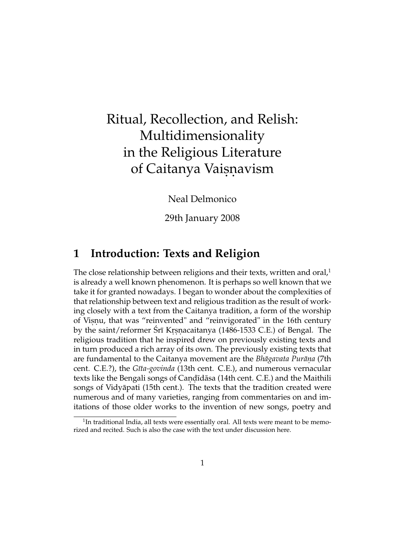# Ritual, Recollection, and Relish: Multidimensionality in the Religious Literature of Caitanya Vaisnavism

Neal Delmonico

29th January 2008

## **1 Introduction: Texts and Religion**

The close relationship between religions and their texts, written and oral, $1$ is already a well known phenomenon. It is perhaps so well known that we take it for granted nowadays. I began to wonder about the complexities of that relationship between text and religious tradition as the result of working closely with a text from the Caitanya tradition, a form of the worship of Visnu, that was "reinvented" and "reinvigorated" in the 16th century by the saint/reformer Śrī Krsnacaitanya (1486-1533 C.E.) of Bengal. The religious tradition that he inspired drew on previously existing texts and in turn produced a rich array of its own. The previously existing texts that are fundamental to the Caitanya movement are the *Bhāgavata Purāna* (7th cent. C.E.?), the *G¯ıta-govinda* (13th cent. C.E.), and numerous vernacular texts like the Bengali songs of Candīdāsa (14th cent. C.E.) and the Maithili songs of Vidyāpati (15th cent.). The texts that the tradition created were numerous and of many varieties, ranging from commentaries on and imitations of those older works to the invention of new songs, poetry and

 $1$ In traditional India, all texts were essentially oral. All texts were meant to be memorized and recited. Such is also the case with the text under discussion here.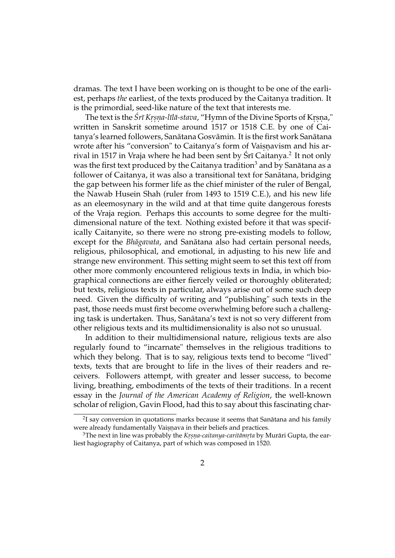dramas. The text I have been working on is thought to be one of the earliest, perhaps *the* earliest, of the texts produced by the Caitanya tradition. It is the primordial, seed-like nature of the text that interests me.

The text is the *Śrī Krṣṇa-līlā-stava*, "Hymn of the Divine Sports of Krṣṇa," written in Sanskrit sometime around 1517 or 1518 C.E. by one of Caitanya's learned followers, Sanātana Gosvāmin. It is the first work Sanātana wrote after his "conversion" to Caitanya's form of Vaisnavism and his arrival in 1517 in Vraja where he had been sent by Śrī Caitanya. $^2$  It not only was the first text produced by the Caitanya tradition<sup>3</sup> and by Sanātana as a follower of Caitanya, it was also a transitional text for Sanātana, bridging the gap between his former life as the chief minister of the ruler of Bengal, the Nawab Husein Shah (ruler from 1493 to 1519 C.E.), and his new life as an eleemosynary in the wild and at that time quite dangerous forests of the Vraja region. Perhaps this accounts to some degree for the multidimensional nature of the text. Nothing existed before it that was specifically Caitanyite, so there were no strong pre-existing models to follow, except for the *Bhāgavata*, and Sanātana also had certain personal needs, religious, philosophical, and emotional, in adjusting to his new life and strange new environment. This setting might seem to set this text off from other more commonly encountered religious texts in India, in which biographical connections are either fiercely veiled or thoroughly obliterated; but texts, religious texts in particular, always arise out of some such deep need. Given the difficulty of writing and "publishing" such texts in the past, those needs must first become overwhelming before such a challenging task is undertaken. Thus, Sanatana's text is not so very different from ¯ other religious texts and its multidimensionality is also not so unusual.

In addition to their multidimensional nature, religious texts are also regularly found to "incarnate" themselves in the religious traditions to which they belong. That is to say, religious texts tend to become "lived" texts, texts that are brought to life in the lives of their readers and receivers. Followers attempt, with greater and lesser success, to become living, breathing, embodiments of the texts of their traditions. In a recent essay in the *Journal of the American Academy of Religion*, the well-known scholar of religion, Gavin Flood, had this to say about this fascinating char-

 $^{2}$ I say conversion in quotations marks because it seems that Sanātana and his family were already fundamentally Vaisnava in their beliefs and practices.

<sup>&</sup>lt;sup>3</sup>The next in line was probably the *Krsna-caitanya-caritāmrta* by Murāri Gupta, the earliest hagiography of Caitanya, part of which was composed in 1520.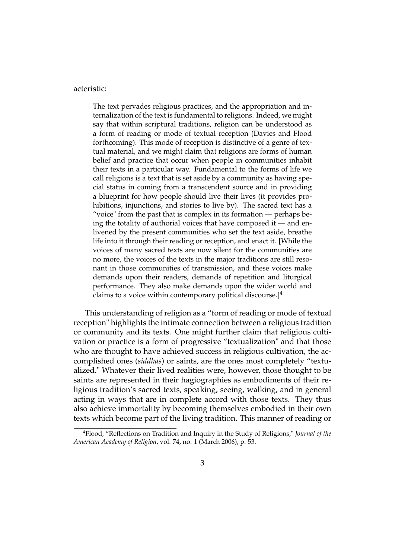#### acteristic:

The text pervades religious practices, and the appropriation and internalization of the text is fundamental to religions. Indeed, we might say that within scriptural traditions, religion can be understood as a form of reading or mode of textual reception (Davies and Flood forthcoming). This mode of reception is distinctive of a genre of textual material, and we might claim that religions are forms of human belief and practice that occur when people in communities inhabit their texts in a particular way. Fundamental to the forms of life we call religions is a text that is set aside by a community as having special status in coming from a transcendent source and in providing a blueprint for how people should live their lives (it provides prohibitions, injunctions, and stories to live by). The sacred text has a "voice" from the past that is complex in its formation — perhaps being the totality of authorial voices that have composed it — and enlivened by the present communities who set the text aside, breathe life into it through their reading or reception, and enact it. [While the voices of many sacred texts are now silent for the communities are no more, the voices of the texts in the major traditions are still resonant in those communities of transmission, and these voices make demands upon their readers, demands of repetition and liturgical performance. They also make demands upon the wider world and claims to a voice within contemporary political discourse.] $<sup>4</sup>$ </sup>

This understanding of religion as a "form of reading or mode of textual reception" highlights the intimate connection between a religious tradition or community and its texts. One might further claim that religious cultivation or practice is a form of progressive "textualization" and that those who are thought to have achieved success in religious cultivation, the accomplished ones (*siddhas*) or saints, are the ones most completely "textualized." Whatever their lived realities were, however, those thought to be saints are represented in their hagiographies as embodiments of their religious tradition's sacred texts, speaking, seeing, walking, and in general acting in ways that are in complete accord with those texts. They thus also achieve immortality by becoming themselves embodied in their own texts which become part of the living tradition. This manner of reading or

<sup>4</sup>Flood, "Reflections on Tradition and Inquiry in the Study of Religions," *Journal of the American Academy of Religion*, vol. 74, no. 1 (March 2006), p. 53.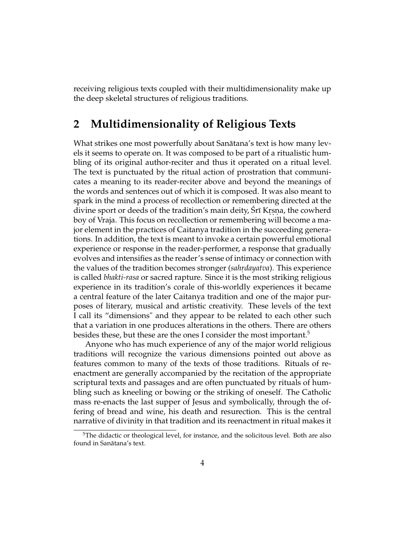receiving religious texts coupled with their multidimensionality make up the deep skeletal structures of religious traditions.

## **2 Multidimensionality of Religious Texts**

What strikes one most powerfully about Sanātana's text is how many levels it seems to operate on. It was composed to be part of a ritualistic humbling of its original author-reciter and thus it operated on a ritual level. The text is punctuated by the ritual action of prostration that communicates a meaning to its reader-reciter above and beyond the meanings of the words and sentences out of which it is composed. It was also meant to spark in the mind a process of recollection or remembering directed at the divine sport or deeds of the tradition's main deity, Srī Krsna, the cowherd boy of Vraja. This focus on recollection or remembering will become a major element in the practices of Caitanya tradition in the succeeding generations. In addition, the text is meant to invoke a certain powerful emotional experience or response in the reader-performer, a response that gradually evolves and intensifies as the reader's sense of intimacy or connection with the values of the tradition becomes stronger *(sahrdayatva)*. This experience is called *bhakti-rasa* or sacred rapture. Since it is the most striking religious experience in its tradition's corale of this-worldly experiences it became a central feature of the later Caitanya tradition and one of the major purposes of literary, musical and artistic creativity. These levels of the text I call its "dimensions" and they appear to be related to each other such that a variation in one produces alterations in the others. There are others besides these, but these are the ones I consider the most important.<sup>5</sup>

Anyone who has much experience of any of the major world religious traditions will recognize the various dimensions pointed out above as features common to many of the texts of those traditions. Rituals of reenactment are generally accompanied by the recitation of the appropriate scriptural texts and passages and are often punctuated by rituals of humbling such as kneeling or bowing or the striking of oneself. The Catholic mass re-enacts the last supper of Jesus and symbolically, through the offering of bread and wine, his death and resurection. This is the central narrative of divinity in that tradition and its reenactment in ritual makes it

<sup>&</sup>lt;sup>5</sup>The didactic or theological level, for instance, and the solicitous level. Both are also found in Sanātana's text.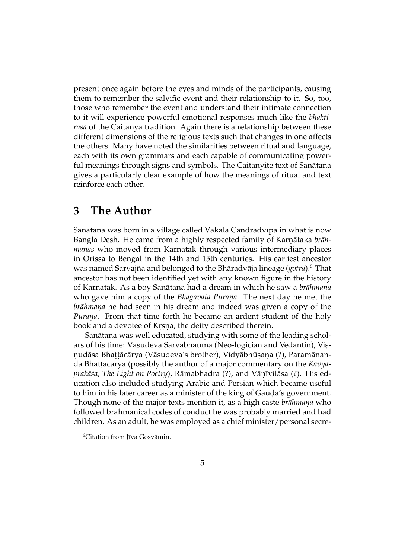present once again before the eyes and minds of the participants, causing them to remember the salvific event and their relationship to it. So, too, those who remember the event and understand their intimate connection to it will experience powerful emotional responses much like the *bhaktirasa* of the Caitanya tradition. Again there is a relationship between these different dimensions of the religious texts such that changes in one affects the others. Many have noted the similarities between ritual and language, each with its own grammars and each capable of communicating powerful meanings through signs and symbols. The Caitanyite text of Sanātana gives a particularly clear example of how the meanings of ritual and text reinforce each other.

## **3 The Author**

Sanātana was born in a village called Vākalā Candradvīpa in what is now Bangla Desh. He came from a highly respected family of Karnātaka *brāh*manas who moved from Karnatak through various intermediary places in Orissa to Bengal in the 14th and 15th centuries. His earliest ancestor was named Sarvajña and belonged to the Bhāradvāja lineage (*gotra*).<sup>6</sup> That ancestor has not been identified yet with any known figure in the history of Karnatak. As a boy Sanātana had a dream in which he saw a *brāhmaṇa* who gave him a copy of the *Bhāgavata Purāṇa*. The next day he met the *brāhmaṇa* he had seen in his dream and indeed was given a copy of the *Purana*. From that time forth he became an ardent student of the holy book and a devotee of Krsna, the deity described therein.

Sanātana was well educated, studying with some of the leading scholars of his time: Vāsudeva Sārvabhauma (Neo-logician and Vedāntin), Visņudāsa Bhaṭṭācārya (Vāsudeva's brother), Vidyābhūṣaṇa (?), Paramānanda Bhaṭṭācārya (possibly the author of a major commentary on the *Kāvya*p*rakāśa, The Light on Poetry*), Rāmabhadra (?), and Vāṇīvilāsa (?). His education also included studying Arabic and Persian which became useful to him in his later career as a minister of the king of Gauda's government. Though none of the major texts mention it, as a high caste *brāhmaṇa* who followed brahmanical codes of conduct he was probably married and had ¯ children. As an adult, he was employed as a chief minister/personal secre-

 $6$ Citation from Jīva Gosvāmin.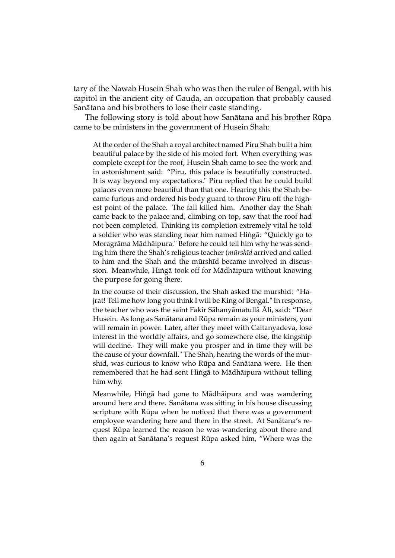tary of the Nawab Husein Shah who was then the ruler of Bengal, with his capitol in the ancient city of Gauda, an occupation that probably caused Sanātana and his brothers to lose their caste standing.

The following story is told about how Sanātana and his brother Rūpa came to be ministers in the government of Husein Shah:

At the order of the Shah a royal architect named Piru Shah built a him beautiful palace by the side of his moted fort. When everything was complete except for the roof, Husein Shah came to see the work and in astonishment said: "Piru, this palace is beautifully constructed. It is way beyond my expectations." Piru replied that he could build palaces even more beautiful than that one. Hearing this the Shah became furious and ordered his body guard to throw Piru off the highest point of the palace. The fall killed him. Another day the Shah came back to the palace and, climbing on top, saw that the roof had not been completed. Thinking its completion extremely vital he told a soldier who was standing near him named Hingā: "Quickly go to Moragrāma Mādhāipura." Before he could tell him why he was sending him there the Shah's religious teacher (*mūrshīd* arrived and called to him and the Shah and the mūrshīd became involved in discussion. Meanwhile, Hingā took off for Mādhāipura without knowing the purpose for going there.

In the course of their discussion, the Shah asked the murshid: "Hajrat! Tell me how long you think I will be King of Bengal." In response, the teacher who was the saint Fakir Sāhanyāmatullā Āli, said: "Dear Husein. As long as Sanātana and Rūpa remain as your ministers, you will remain in power. Later, after they meet with Caitanyadeva, lose interest in the worldly affairs, and go somewhere else, the kingship will decline. They will make you prosper and in time they will be the cause of your downfall." The Shah, hearing the words of the murshid, was curious to know who Rūpa and Sanātana were. He then remembered that he had sent Hingā to Mādhāipura without telling him why.

Meanwhile, Hingā had gone to Mādhāipura and was wandering around here and there. Sanātana was sitting in his house discussing scripture with Rūpa when he noticed that there was a government employee wandering here and there in the street. At Sanātana's request Rūpa learned the reason he was wandering about there and then again at Sanātana's request Rūpa asked him, "Where was the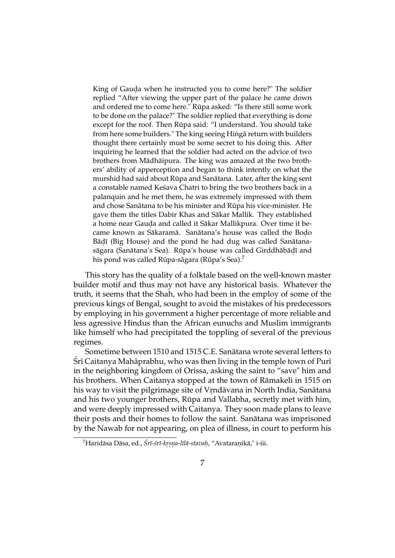King of Gauda when he instructed you to come here?" The soldier replied "After viewing the upper part of the palace he came down and ordered me to come here." Rūpa asked: "Is there still some work to be done on the palace?" The soldier replied that everything is done except for the roof. Then Rūpa said: "I understand. You should take from here some builders." The king seeing Hingā return with builders thought there certainly must be some secret to his doing this. After inquiring he learned that the soldier had acted on the advice of two brothers from Mādhāipura. The king was amazed at the two brothers' ability of apperception and began to think intently on what the murshid had said about Rūpa and Sanātana. Later, after the king sent a constable named Kesava Chatri to bring the two brothers back in a palanquin and he met them, he was extremely impressed with them and chose Sanātana to be his minister and Rūpa his vice-minister. He gave them the titles Dabir Khas and Sākar Mallik. They established a home near Gauda and called it Sākar Mallikpura. Over time it became known as Sākaramā. Sanātana's house was called the Bodo Bāḍī (Big House) and the pond he had dug was called Sanātanasāgara (Sanātana's Sea). Rūpa's house was called Girddhābāḍī and his pond was called Rūpa-sāgara (Rūpa's Sea). $^7$ 

This story has the quality of a folktale based on the well-known master builder motif and thus may not have any historical basis. Whatever the truth, it seems that the Shah, who had been in the employ of some of the previous kings of Bengal, sought to avoid the mistakes of his predecessors by employing in his government a higher percentage of more reliable and less agressive Hindus than the African eunuchs and Muslim immigrants like himself who had precipitated the toppling of several of the previous regimes.

Sometime between 1510 and 1515 C.E. Sanatana wrote several letters to ¯  $\overline{\text{S}}$ rī Caitanya Mahāprabhu, who was then living in the temple town of Purī in the neighboring kingdom of Orissa, asking the saint to "save" him and his brothers. When Caitanya stopped at the town of Rāmakeli in 1515 on his way to visit the pilgrimage site of Vrndāvana in North India, Sanātana and his two younger brothers, Rūpa and Vallabha, secretly met with him, and were deeply impressed with Caitanya. They soon made plans to leave their posts and their homes to follow the saint. Sanatana was imprisoned ¯ by the Nawab for not appearing, on plea of illness, in court to perform his

<sup>&</sup>lt;sup>7</sup>Haridāsa Dāsa, ed., Śrī-śrī-krsna-līlā-stavah, "Avataranikā," i-iii.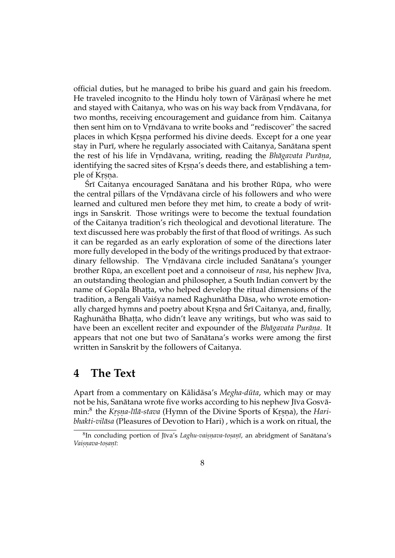official duties, but he managed to bribe his guard and gain his freedom. He traveled incognito to the Hindu holy town of Vārāṇasī where he met and stayed with Caitanya, who was on his way back from Vrndāvana, for two months, receiving encouragement and guidance from him. Caitanya then sent him on to Vrndāvana to write books and "rediscover" the sacred places in which Krsna performed his divine deeds. Except for a one year stay in Purī, where he regularly associated with Caitanya, Sanātana spent the rest of his life in Vrndāvana, writing, reading the *Bhāgavata Purāna*, identifying the sacred sites of Krsna's deeds there, and establishing a temple of Krsna.<br>

Śrī Caitanya encouraged Sanātana and his brother Rūpa, who were the central pillars of the Vrndāvana circle of his followers and who were learned and cultured men before they met him, to create a body of writings in Sanskrit. Those writings were to become the textual foundation of the Caitanya tradition's rich theological and devotional literature. The text discussed here was probably the first of that flood of writings. As such it can be regarded as an early exploration of some of the directions later more fully developed in the body of the writings produced by that extraordinary fellowship. The Vrndāvana circle included Sanātana's younger brother Rūpa, an excellent poet and a connoiseur of *rasa*, his nephew Jīva, an outstanding theologian and philosopher, a South Indian convert by the name of Gopāla Bhaṭṭa, who helped develop the ritual dimensions of the tradition, a Bengali Vaisya named Raghunātha Dāsa, who wrote emotionally charged hymns and poetry about Krsna and Śrī Caitanya, and, finally, Raghunātha Bhaṭṭa, who didn't leave any writings, but who was said to have been an excellent reciter and expounder of the *Bhāgavata Purāṇa*. It appears that not one but two of Sanatana's works were among the first written in Sanskrit by the followers of Caitanya.

### **4 The Text**

Apart from a commentary on Kālidāsa's *Megha-dūta*, which may or may not be his, Sanātana wrote five works according to his nephew Jīva Gosvāmin:<sup>8</sup> the *Krsna-līlā-stava* (Hymn of the Divine Sports of Krsna), the *Haribhakti-vilāsa* (Pleasures of Devotion to Hari), which is a work on ritual, the

 ${}^{8}$ In concluding portion of Jīva's *Laghu-vaiṣṇava-toṣaṇī*, an abridgment of Sanātana's *Vais.n. ava-tos. an. ¯ı*: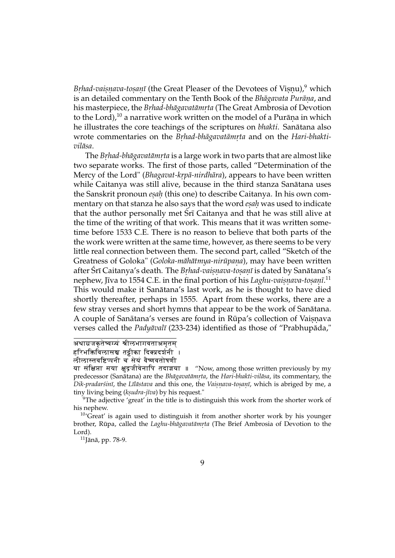*Brhad-vaisnava-tosanī* (the Great Pleaser of the Devotees of Visnu),<sup>9</sup> which is an detailed commentary on the Tenth Book of the *Bhāgavata Purāṇa,* and his masterpiece, the *Brhad-bhāgavatāmrta* (The Great Ambrosia of Devotion to the Lord), $^{10}$  a narrative work written on the model of a Purāṇa in which he illustrates the core teachings of the scriptures on *bhakti*. Sanātana also wrote commentaries on the *Brhad-bhāgavatāmrta* and on the *Hari-bhaktivilasa ¯* .

The *Br.had-bhagavat ¯ amr ¯ . ta* is a large work in two parts that are almost like two separate works. The first of those parts, called "Determination of the Mercy of the Lord" (*Bhagavat-krpā-nirdhāra*), appears to have been written while Caitanya was still alive, because in the third stanza Sanātana uses the Sanskrit pronoun *esah* (this one) to describe Caitanya. In his own commentary on that stanza he also says that the word *esah* was used to indicate that the author personally met  $\hat{S}r\bar{\imath}$  Caitanya and that he was still alive at the time of the writing of that work. This means that it was written sometime before 1533 C.E. There is no reason to believe that both parts of the the work were written at the same time, however, as there seems to be very little real connection between them. The second part, called "Sketch of the  $G$ reatness of  $G$ oloka" ( $G$ oloka-māhātmya-nirūpaṇa), may have been written after Śrī Caitanya's death. The *Brhad-vaisnava-tosanī* is dated by Sanātana's nephew, Jīva to 1554 C.E. in the final portion of his *Laghu-vaiṣṇava-toṣaṇī*.<sup>11</sup> This would make it Sanātana's last work, as he is thought to have died shortly thereafter, perhaps in 1555. Apart from these works, there are a few stray verses and short hymns that appear to be the work of Sanātana. A couple of Sanātana's verses are found in Rūpa's collection of Vaisnava verses called the *Padyāvalī* (233-234) identified as those of "Prabhupāda,"

अथाग्रजकृतेष्वग्यं श्रीलभागवताअमृतम्

हरिभक्तिविलासञ्च तट्टीका दिक्प्रदर्शनी ।

लीलास्तवष्टिप्पनी च सेयं वैष्णवतोषणी

या संक्षिप्ता मया क्षुद्रजीवेनापि तदाज्ञया ॥ "Now, among those written previously by my predecessor (Sanatana) are the ¯ *Bhagavat ¯ amr ¯ . ta*, the *Hari-bhakti-vilasa ¯* , its commentary, the *Dik-pradarśinī*, the *Līlāstava* and this one, the *Vaisnava-tosanī*, which is abriged by me, a tiny living being (*ksudra-jīva*) by his request."

 $9$ The adjective 'great' in the title is to distinguish this work from the shorter work of his nephew.

 $10^{\circ}$ Great' is again used to distinguish it from another shorter work by his younger brother, Rūpa, called the *Laghu-bhāgavatāmṛta* (The Brief Ambrosia of Devotion to the Lord).

 $11$ Jānā, pp. 78-9.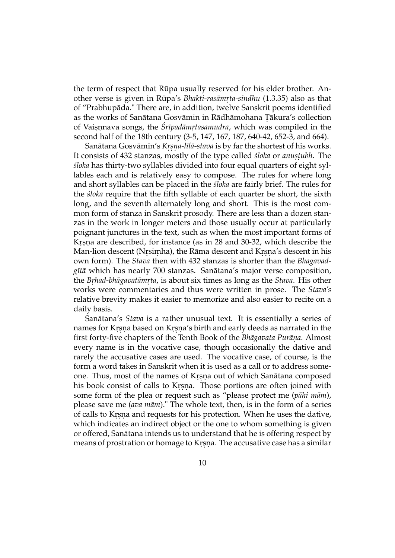the term of respect that Rūpa usually reserved for his elder brother. Another verse is given in Rupa's ¯ *Bhakti-rasamr ¯ . ta-sindhu* (1.3.35) also as that of "Prabhupada." There are, in addition, twelve Sanskrit poems identified ¯ as the works of Sanātana Gosvāmin in Rādhāmohana Țākura's collection of Vaisnnava songs, the *Śrīpadāmrtasamudra*, which was compiled in the second half of the 18th century (3-5, 147, 167, 187, 640-42, 652-3, and 664).

Sanātana Gosvāmin's *Krṣṇa-līlā-stava* is by far the shortest of his works. It consists of 432 stanzas, mostly of the type called *śloka* or *anustubh*. The *´sloka* has thirty-two syllables divided into four equal quarters of eight syllables each and is relatively easy to compose. The rules for where long and short syllables can be placed in the *sloka* are fairly brief. The rules for the *´sloka* require that the fifth syllable of each quarter be short, the sixth long, and the seventh alternately long and short. This is the most common form of stanza in Sanskrit prosody. There are less than a dozen stanzas in the work in longer meters and those usually occur at particularly poignant junctures in the text, such as when the most important forms of Krsna are described, for instance (as in 28 and 30-32, which describe the Man-lion descent (Nrsimha), the Rāma descent and Krsna's descent in his own form). The *Stava* then with 432 stanzas is shorter than the *Bhagavadgītā* which has nearly 700 stanzas. Sanātana's major verse composition, the *Br.had-bhagavat ¯ amr ¯ . ta*, is about six times as long as the *Stava*. His other works were commentaries and thus were written in prose. The *Stava's* relative brevity makes it easier to memorize and also easier to recite on a daily basis.

Sanātana's *Stava* is a rather unusual text. It is essentially a series of names for Krsna based on Krsna's birth and early deeds as narrated in the first forty-five chapters of the Tenth Book of the *Bhagavata Purana*. Almost every name is in the vocative case, though occasionally the dative and rarely the accusative cases are used. The vocative case, of course, is the form a word takes in Sanskrit when it is used as a call or to address someone. Thus, most of the names of Krsna out of which Sanātana composed his book consist of calls to Krsna. Those portions are often joined with some form of the plea or request such as "please protect me (pāhi mām), please save me (*ava mām*)." The whole text, then, is in the form of a series of calls to Krsna and requests for his protection. When he uses the dative, which indicates an indirect object or the one to whom something is given or offered, Sanatana intends us to understand that he is offering respect by ¯ means of prostration or homage to Kṛṣṇa. The accusative case has a similar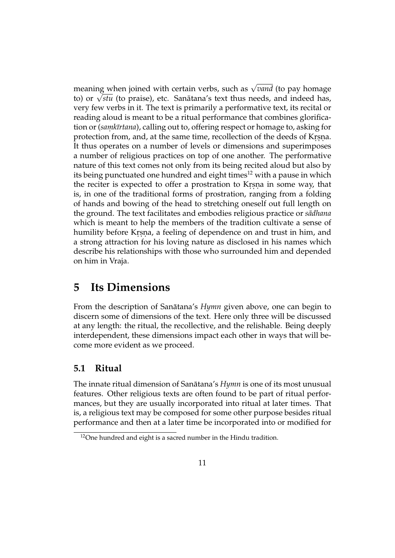meaning when joined with certain verbs, such as  $\sqrt{v$ *and* (to pay homage meaning when joined with certain verbs, such as *√ounu* (to pay nomage<br>to) or *√stu* (to praise), etc. Sanātana's text thus needs, and indeed has, very few verbs in it. The text is primarily a performative text, its recital or reading aloud is meant to be a ritual performance that combines glorification or (*samkīrtana*), calling out to, offering respect or homage to, asking for protection from, and, at the same time, recollection of the deeds of Krsna. It thus operates on a number of levels or dimensions and superimposes a number of religious practices on top of one another. The performative nature of this text comes not only from its being recited aloud but also by its being punctuated one hundred and eight times<sup>12</sup> with a pause in which the reciter is expected to offer a prostration to Krsna in some way, that is, in one of the traditional forms of prostration, ranging from a folding of hands and bowing of the head to stretching oneself out full length on the ground. The text facilitates and embodies religious practice or *sādhana* which is meant to help the members of the tradition cultivate a sense of humility before Krsna, a feeling of dependence on and trust in him, and a strong attraction for his loving nature as disclosed in his names which describe his relationships with those who surrounded him and depended on him in Vraja.

## **5 Its Dimensions**

From the description of Sanātana's *Hymn* given above, one can begin to discern some of dimensions of the text. Here only three will be discussed at any length: the ritual, the recollective, and the relishable. Being deeply interdependent, these dimensions impact each other in ways that will become more evident as we proceed.

### **5.1 Ritual**

The innate ritual dimension of Sanātana's *Hymn* is one of its most unusual features. Other religious texts are often found to be part of ritual performances, but they are usually incorporated into ritual at later times. That is, a religious text may be composed for some other purpose besides ritual performance and then at a later time be incorporated into or modified for

 $12$ One hundred and eight is a sacred number in the Hindu tradition.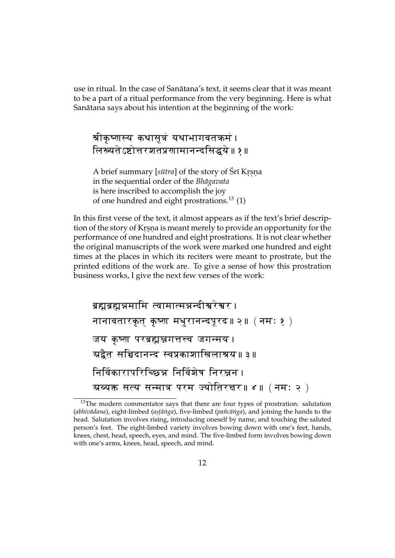use in ritual. In the case of Sanatana's text, it seems clear that it was meant ¯ to be a part of a ritual performance from the very beginning. Here is what Sanātana says about his intention at the beginning of the work:

श्रीकृष्णस्य कथासूत्रं यथाभागवतकमं ।  $\sqrt{6\pi}$ स्यतेऽष्टोत्तरशतप्रगामानन्दसिद्धये॥ १॥

A brief summary [*sūtra*] of the story of Śrī Krṣṇa in the sequential order of the *Bhagavata ¯* is here inscribed to accomplish the joy of one hundred and eight prostrations.<sup>13</sup> (1)

In this first verse of the text, it almost appears as if the text's brief description of the story of Krsna is meant merely to provide an opportunity for the performance of one hundred and eight prostrations. It is not clear whether the original manuscripts of the work were marked one hundred and eight times at the places in which its reciters were meant to prostrate, but the printed editions of the work are. To give a sense of how this prostration business works, I give the next few verses of the work:

```
ब्रह्मब्रह्मन्नमामि त्वामात्मन्नन्दीश्वरेश्वर ।
नानावतारकृत् कृष्ण मधुरानन्दपूरद॥२॥ (नमः १ )
जय कृष्ण परब्रह्मञ्जगत्तत्त्व जगन्मय 
त्र्यद्वैत सचिदानन्द स्वप्रकाशाखिलाश्रय॥३॥
निर्विकारापरिच्छिन्न निर्विशेष निर<u>ञ्</u>जन ।
अव्यक्त सत्य सन्मात्र परम ज्योतिरचर॥ ४॥ ( नमः २ )
```
 $13$ The modern commentator says that there are four types of prostration: salutation (abhivadana), eight-limbed (astanga), five-limbed (pancanga), and joining the hands to the head. Salutation involves rising, introducing oneself by name, and touching the saluted person's feet. The eight-limbed variety involves bowing down with one's feet, hands, knees, chest, head, speech, eyes, and mind. The five-limbed form involves bowing down with one's arms, knees, head, speech, and mind.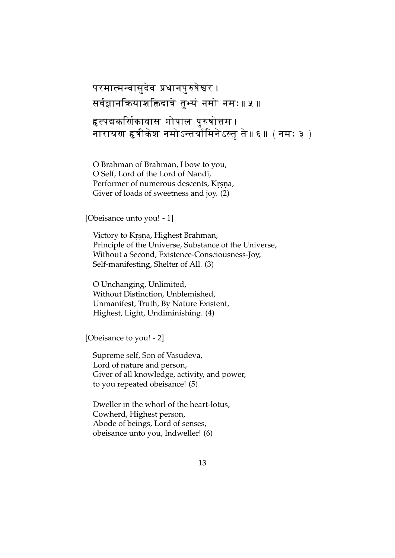```
परमात्मन्वासुदेव प्रधानपुरुषेश्वर ।
सर्वज्ञानकियाशक्तिदात्रे तुभ्यं नमो नमः॥ <mark>५</mark> ॥
हृत्पद्मकर्णिकावास गोपाल पुरुषोत्तम ।
नारायण हृषीकेश नमोऽन्तर्यामिनेऽस्तु ते॥६॥ ( नमः ३ )
```
O Brahman of Brahman, I bow to you, O Self, Lord of the Lord of Nandī, Performer of numerous descents, Krsna, Giver of loads of sweetness and joy. (2)

[Obeisance unto you! - 1]

Victory to Krsna, Highest Brahman, Principle of the Universe, Substance of the Universe, Without a Second, Existence-Consciousness-Joy, Self-manifesting, Shelter of All. (3)

O Unchanging, Unlimited, Without Distinction, Unblemished, Unmanifest, Truth, By Nature Existent, Highest, Light, Undiminishing. (4)

[Obeisance to you! - 2]

Supreme self, Son of Vasudeva, Lord of nature and person, Giver of all knowledge, activity, and power, to you repeated obeisance! (5)

Dweller in the whorl of the heart-lotus, Cowherd, Highest person, Abode of beings, Lord of senses, obeisance unto you, Indweller! (6)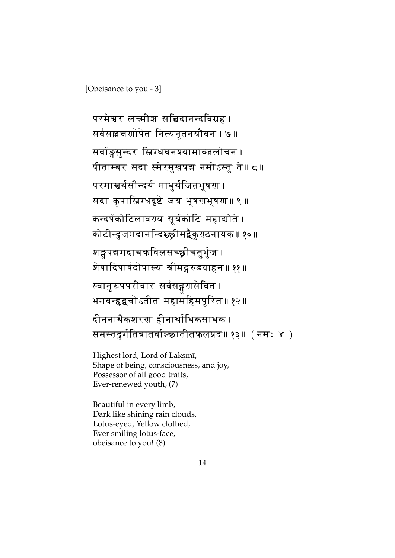[Obeisance to you - 3]

परमेश्वर लक्ष्मीश सच्चिदानन्दविग्रह । सर्वसल्लचापोपेत नित्यनूतनयौवन॥ ७॥ सर्वाङ्गसून्दर स्निग्धवनश्यामाब्जलोचन । पीताम्बर सदा स्मेरमुखपद्म नमोऽस्तु ते॥ द॥ परमाञ्चर्यसौन्दर्य माधुर्यजितभूषण । सदा कृपास्निग्धदृष्टे जय भूषरणभूषरा॥ ९ ॥ कन्दर्पकोटिलावरप सूर्यकोटि महाद्योते । कोटीन्दुजगदानन्दिञ्छ्रीमद्वैकुरखनायक॥ १०॥ शङ्खपद्मगदाचक्रविलसच्छ्रीचतुर्भुज । शेषादिपार्षदोपास्य श्रीमद्गरुडवाहन॥ ११॥ स्वानुरूपपरीवार सर्वसद्गरासेवित । भगवन्हृद्वचोऽतीत महामहिमपूरित॥ १२॥ दीननाथैकशरण हीनार्थाधिकसाधक । समस्तदुर्गतित्रातर्वाञ्च्छातीतफलप्रद॥ १३॥ ( नमः ४ )

Highest lord, Lord of Laksmī, Shape of being, consciousness, and joy, Possessor of all good traits, Ever-renewed youth, (7)

Beautiful in every limb, Dark like shining rain clouds, Lotus-eyed, Yellow clothed, Ever smiling lotus-face, obeisance to you! (8)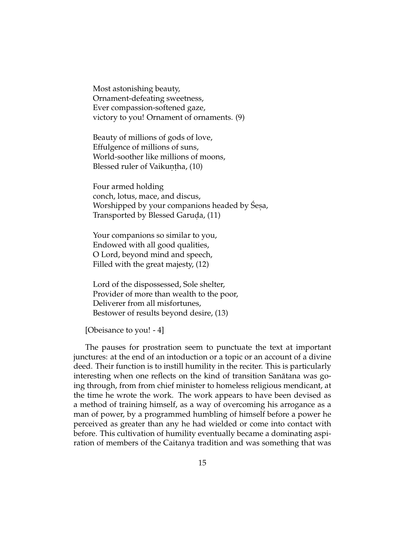Most astonishing beauty, Ornament-defeating sweetness, Ever compassion-softened gaze, victory to you! Ornament of ornaments. (9)

Beauty of millions of gods of love, Effulgence of millions of suns, World-soother like millions of moons, Blessed ruler of Vaikuṇṭha, (10)

Four armed holding conch, lotus, mace, and discus, Worshipped by your companions headed by Śesa, Transported by Blessed Garuda, (11)

Your companions so similar to you, Endowed with all good qualities, O Lord, beyond mind and speech, Filled with the great majesty, (12)

Lord of the dispossessed, Sole shelter, Provider of more than wealth to the poor, Deliverer from all misfortunes, Bestower of results beyond desire, (13)

[Obeisance to you! - 4]

The pauses for prostration seem to punctuate the text at important junctures: at the end of an intoduction or a topic or an account of a divine deed. Their function is to instill humility in the reciter. This is particularly interesting when one reflects on the kind of transition Sanātana was going through, from from chief minister to homeless religious mendicant, at the time he wrote the work. The work appears to have been devised as a method of training himself, as a way of overcoming his arrogance as a man of power, by a programmed humbling of himself before a power he perceived as greater than any he had wielded or come into contact with before. This cultivation of humility eventually became a dominating aspiration of members of the Caitanya tradition and was something that was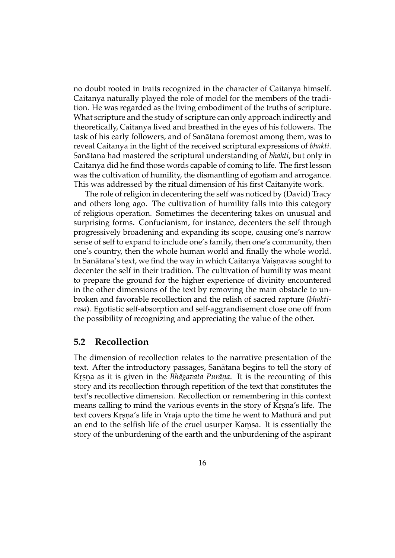no doubt rooted in traits recognized in the character of Caitanya himself. Caitanya naturally played the role of model for the members of the tradition. He was regarded as the living embodiment of the truths of scripture. What scripture and the study of scripture can only approach indirectly and theoretically, Caitanya lived and breathed in the eyes of his followers. The task of his early followers, and of Sanatana foremost among them, was to ¯ reveal Caitanya in the light of the received scriptural expressions of *bhakti*. Sanātana had mastered the scriptural understanding of *bhakti*, but only in Caitanya did he find those words capable of coming to life. The first lesson was the cultivation of humility, the dismantling of egotism and arrogance. This was addressed by the ritual dimension of his first Caitanyite work.

The role of religion in decentering the self was noticed by (David) Tracy and others long ago. The cultivation of humility falls into this category of religious operation. Sometimes the decentering takes on unusual and surprising forms. Confucianism, for instance, decenters the self through progressively broadening and expanding its scope, causing one's narrow sense of self to expand to include one's family, then one's community, then one's country, then the whole human world and finally the whole world. In Sanātana's text, we find the way in which Caitanya Vaisnavas sought to decenter the self in their tradition. The cultivation of humility was meant to prepare the ground for the higher experience of divinity encountered in the other dimensions of the text by removing the main obstacle to unbroken and favorable recollection and the relish of sacred rapture (*bhaktirasa*). Egotistic self-absorption and self-aggrandisement close one off from the possibility of recognizing and appreciating the value of the other.

#### **5.2 Recollection**

The dimension of recollection relates to the narrative presentation of the text. After the introductory passages, Sanātana begins to tell the story of Krsna as it is given in the *Bhagavata Purana*. It is the recounting of this story and its recollection through repetition of the text that constitutes the text's recollective dimension. Recollection or remembering in this context means calling to mind the various events in the story of Krṣṇa's life. The text covers Krsna's life in Vraja upto the time he went to Mathurā and put an end to the selfish life of the cruel usurper Kamsa. It is essentially the story of the unburdening of the earth and the unburdening of the aspirant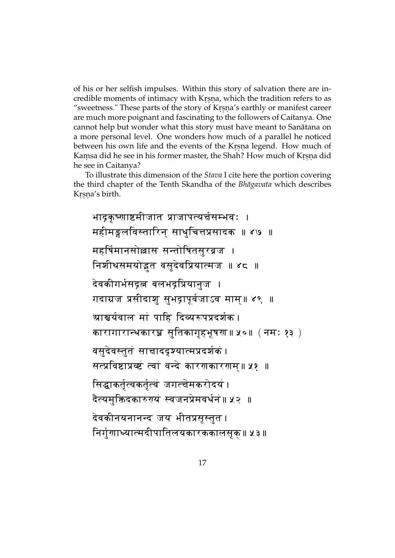of his or her selfish impulses. Within this story of salvation there are incredible moments of intimacy with Krsna, which the tradition refers to as "sweetness." These parts of the story of Krsna's earthly or manifest career are much more poignant and fascinating to the followers of Caitanya. One cannot help but wonder what this story must have meant to Sanātana on a more personal level. One wonders how much of a parallel he noticed between his own life and the events of the Krsna legend. How much of Kamsa did he see in his former master, the Shah? How much of Krsna did he see in Caitanya?

To illustrate this dimension of the *Stava* I cite here the portion covering the third chapter of the Tenth Skandha of the *Bhāgavata* which describes Kṛṣṇa's birth.

भाद्रकृष्णाष्टमीजात प्राजापत्यर्चसम्भवः । महीमङ्गलविस्तारिन् साधुचित्तप्रसादक ॥ ४७ ॥ महर्षिमानसोल्लास सन्तोषितसूरव्रज $\,$  । निशीथसमयोड़त वसुदेवप्रियात्मज ॥ ४८ ॥ देवकीगर्भसद्रत्न बलभद्रप्रियानुज । गदाग्रज प्रसीदाशु सुभद्रापूर्वजाऽव माम्॥ ४९ ॥ ग्राश्चर्यवाल मां पाहि दिव्यरूपप्रदर्शक। कारागारान्थकारघ्न सुतिकागृहभूषरा॥ ५०॥ (नमः १३ ) वसुदेवस्तुतं साचाददृश्यात्मप्रदर्शकं सत्प्रविष्टाप्रव्ष्टं त्वां वन्दे कारणकारणम्॥ ५१ ॥ सिद्धाकर्तृत्वकर्तृत्वं जगत्चेमकरोदयं । दैत्यमुक्तिदकारुुयं स्वजनप्रेमवर्धनं॥ ५२ ॥ देवकीनयनानन्द जय भीतप्रसूस्तुत । निर्गुणाध्यात्मदीपातिलयकारककालसृक्॥ ५३।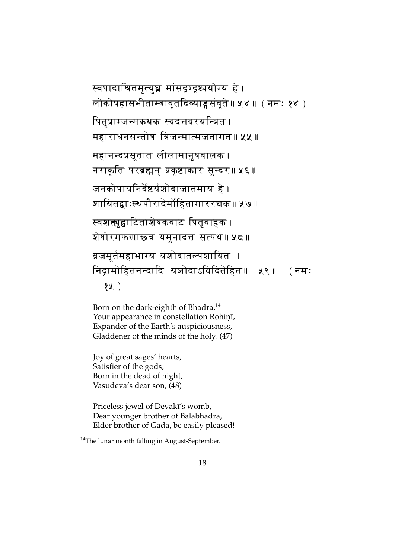# स्वपादाश्रितमृत्युघ्न मांसदृग्दृष्ट्ययोग्य हे । लोकोपहासभीताम्बावृतदिव्याङ्गसंवृते॥ ५४ ॥ (नमः १४ ) पितृप्राग्जन्मकथक स्वदत्तवरयन्त्रित । महाराधनसन्तोष त्रिजन्मात्मजतागत॥ ५५ ॥ महानन्दप्रसूतात लीलामानुषबालक । नराकृति परब्रह्मन् प्रकृष्टाकार सुन्दर॥ ५६। जनकोपायनिर्देष्टर्यशोदाजातमाय हे । शायितद्वाःस्थपौरादेर्मोहितागाररचक॥ ५७॥ स्वशक्तपुद्वाटिताशेषकवाट पितृवाहक । शेषोरगफणाछ्त्र यमुनादत्त सत्पथ॥ ५८॥ ब्रजमूर्तमहाभाग्य यशोदातल्पशायित । निद्रामोहितनन्दादि यशोदाऽविदितेहित॥ ५९॥ (नमः १५)

Born on the dark-eighth of Bhādra,<sup>14</sup> Your appearance in constellation Rohiṇī*,* Expander of the Earth's auspiciousness, Gladdener of the minds of the holy. (47)

Joy of great sages' hearts, Satisfier of the gods, Born in the dead of night, Vasudeva's dear son, (48)

Priceless jewel of Devakī's womb, Dear younger brother of Balabhadra, Elder brother of Gada, be easily pleased!

<sup>&</sup>lt;sup>14</sup>The lunar month falling in August-September.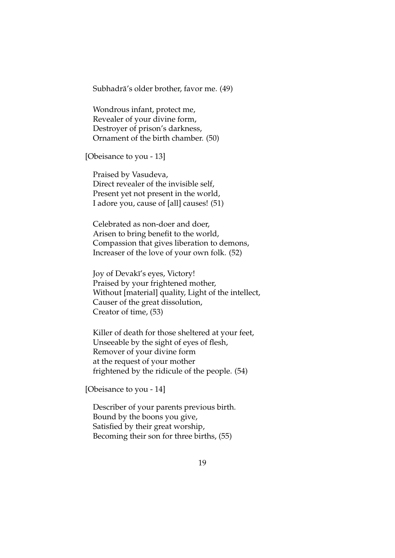Subhadrā's older brother, favor me. (49)

Wondrous infant, protect me, Revealer of your divine form, Destroyer of prison's darkness, Ornament of the birth chamber. (50)

[Obeisance to you - 13]

Praised by Vasudeva, Direct revealer of the invisible self, Present yet not present in the world, I adore you, cause of [all] causes! (51)

Celebrated as non-doer and doer, Arisen to bring benefit to the world, Compassion that gives liberation to demons, Increaser of the love of your own folk. (52)

Joy of Devakī's eyes, Victory! Praised by your frightened mother, Without [material] quality, Light of the intellect, Causer of the great dissolution, Creator of time, (53)

Killer of death for those sheltered at your feet, Unseeable by the sight of eyes of flesh, Remover of your divine form at the request of your mother frightened by the ridicule of the people. (54)

[Obeisance to you - 14]

Describer of your parents previous birth. Bound by the boons you give, Satisfied by their great worship, Becoming their son for three births, (55)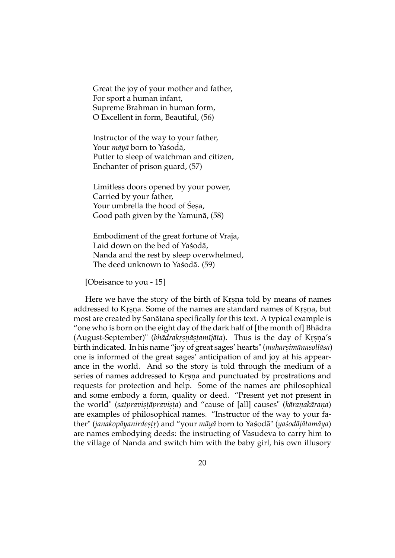Great the joy of your mother and father, For sport a human infant, Supreme Brahman in human form, O Excellent in form, Beautiful, (56)

Instructor of the way to your father, Your *māyā* born to Yaśodā, Putter to sleep of watchman and citizen, Enchanter of prison guard, (57)

Limitless doors opened by your power, Carried by your father, Your umbrella the hood of Sesa, Good path given by the Yamunā, (58)

Embodiment of the great fortune of Vraja, Laid down on the bed of Yasoda, Nanda and the rest by sleep overwhelmed, The deed unknown to Yasodā. (59)

[Obeisance to you - 15]

Here we have the story of the birth of Krsna told by means of names addressed to Krsna. Some of the names are standard names of Krsna, but most are created by Sanātana specifically for this text. A typical example is "one who is born on the eight day of the dark half of [the month of] Bhadra ¯ (August-September)" (*bhādrakrṣṇāṣṭamījāta*). Thus is the day of Krṣṇa's birth indicated. In his name "joy of great sages' hearts" (*maharṣimānasollāsa*) one is informed of the great sages' anticipation of and joy at his appearance in the world. And so the story is told through the medium of a series of names addressed to Krsna and punctuated by prostrations and requests for protection and help. Some of the names are philosophical and some embody a form, quality or deed. "Present yet not present in the world" (*satpravistāpravista*) and "cause of [all] causes" (*kāraṇakāraṇa*) are examples of philosophical names. "Instructor of the way to your father" (*janakopāyanirdesṭṛ*) and "your *māyā* born to Yaśodā" (yaśodājātamāya) are names embodying deeds: the instructing of Vasudeva to carry him to the village of Nanda and switch him with the baby girl, his own illusory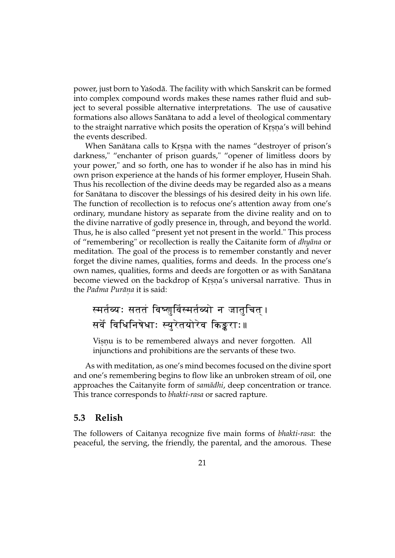power, just born to Yasoda. The facility with which Sanskrit can be formed into complex compound words makes these names rather fluid and subject to several possible alternative interpretations. The use of causative formations also allows Sanatana to add a level of theological commentary ¯ to the straight narrative which posits the operation of Krṣṇa's will behind the events described.

When Sanātana calls to Krsna with the names "destroyer of prison's darkness," "enchanter of prison guards," "opener of limitless doors by your power," and so forth, one has to wonder if he also has in mind his own prison experience at the hands of his former employer, Husein Shah. Thus his recollection of the divine deeds may be regarded also as a means for Sanatana to discover the blessings of his desired deity in his own life. The function of recollection is to refocus one's attention away from one's ordinary, mundane history as separate from the divine reality and on to the divine narrative of godly presence in, through, and beyond the world. Thus, he is also called "present yet not present in the world." This process of "remembering" or recollection is really the Caitanite form of *dhyana* or meditation. The goal of the process is to remember constantly and never forget the divine names, qualities, forms and deeds. In the process one's own names, qualities, forms and deeds are forgotten or as with Sanātana become viewed on the backdrop of Krsna's universal narrative. Thus in the *Padma Puran¯ . a* it is said:

## स्मर्तव्यः सततं विष्णुर्विस्मर्तव्यो न जातुचित् । सर्वे विधिनिषेधाः स्युरेतयोरेव किङ्कराः॥

Visnu is to be remembered always and never forgotten. All injunctions and prohibitions are the servants of these two.

As with meditation, as one's mind becomes focused on the divine sport and one's remembering begins to flow like an unbroken stream of oil, one approaches the Caitanyite form of *samādhi*, deep concentration or trance. This trance corresponds to *bhakti-rasa* or sacred rapture.

#### **5.3 Relish**

The followers of Caitanya recognize five main forms of *bhakti-rasa*: the peaceful, the serving, the friendly, the parental, and the amorous. These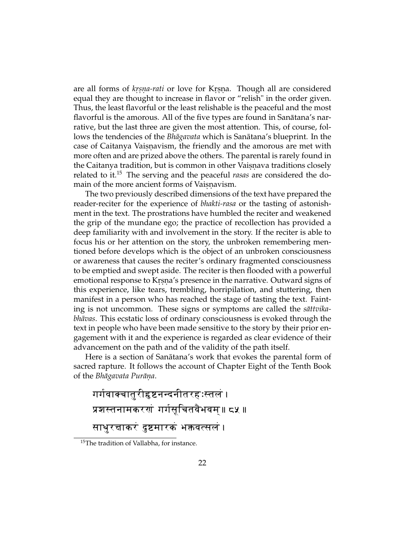are all forms of *krsna-rati* or love for Krsna. Though all are considered equal they are thought to increase in flavor or "relish" in the order given. Thus, the least flavorful or the least relishable is the peaceful and the most flavorful is the amorous. All of the five types are found in Sanātana's narrative, but the last three are given the most attention. This, of course, follows the tendencies of the *Bhāgavata* which is Sanātana's blueprint. In the case of Caitanya Vaisnavism, the friendly and the amorous are met with more often and are prized above the others. The parental is rarely found in the Caitanya tradition, but is common in other Vaisnava traditions closely related to it.<sup>15</sup> The serving and the peaceful *rasas* are considered the domain of the more ancient forms of Vaisnavism.

The two previously described dimensions of the text have prepared the reader-reciter for the experience of *bhakti-rasa* or the tasting of astonishment in the text. The prostrations have humbled the reciter and weakened the grip of the mundane ego; the practice of recollection has provided a deep familiarity with and involvement in the story. If the reciter is able to focus his or her attention on the story, the unbroken remembering mentioned before develops which is the object of an unbroken consciousness or awareness that causes the reciter's ordinary fragmented consciousness to be emptied and swept aside. The reciter is then flooded with a powerful emotional response to Krsna's presence in the narrative. Outward signs of this experience, like tears, trembling, horripilation, and stuttering, then manifest in a person who has reached the stage of tasting the text. Fainting is not uncommon. These signs or symptoms are called the *sattvikabhāvas*. This ecstatic loss of ordinary consciousness is evoked through the text in people who have been made sensitive to the story by their prior engagement with it and the experience is regarded as clear evidence of their advancement on the path and of the validity of the path itself.

Here is a section of Sanātana's work that evokes the parental form of sacred rapture. It follows the account of Chapter Eight of the Tenth Book of the *Bhāgavata Purāṇa.* 

```
गर्गवाक्चातुरीहृष्टनन्दनीतरहःस्तलं ।
प्रशस्तनामकरणं गर्गसूचितवैभवम्॥ ८५ ॥
साधुरचाकरं दुष्टमारकं भक्तवत्सलं ।
```
<sup>&</sup>lt;sup>15</sup>The tradition of Vallabha, for instance.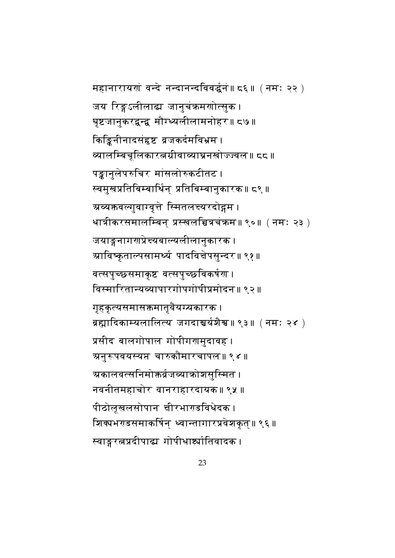महानारायणं वन्दे नन्दानन्दविवर्द्धनं॥ ८६॥ (नमः २२) जय रिङ्गऽलीलाद्य जानुचंक्रमणोत्सुक । घृष्टजानुकरद्वन्द्व मौग्घ्यलीलामनोहर॥ द७ । किङ्किनीनादसंहृष्ट व्रजकर्दमविभ्रम । <u>व्यालम्बिचूलिकारत्नग्रीवाव्याघ्रनखोज्ज्वल॥ दद॥</u> पङ्कानुलेपरुचिर मांसलोरुकटीतट । स्वमुखप्रतिबिम्बार्थिन् प्रतिबिम्बानुकारक॥ ८९॥ ग्रव्यक्तवल्गुवाग्वृत्ते स्मितलच्यरदो**द्गम** । धात्रीकरसमालम्बिन् प्रस्खलच्चित्रचंक्रम॥ ९०॥  $($  नमः २३  $)$ जयाङ्गनागणप्रेच्यबाल्यलीलानुकारक । त्र्याविष्कृताल्पसामर्थ्य पादविचेपसुन्दर॥ ९१॥ वत्सपुच्छसमाकृष्ट वत्सपुच्छविकर्षण । विस्मारितान्यव्यापारगोपगोपीप्रमोदन॥ ९२॥ गृहकृत्यसमासक्तमातृवैयग्यकारक । त्रह्मादिकाम्यलालित्य जगदाश्चर्यशैश्व॥९३॥ (नमः २४ ) प्रसीद बालगोपाल गोपीगरामुदावह । त्र्यनुरूपवयस्यप्त चारुकौमारचापल॥ ९४॥ ग्रकालवत्सनिमोक्तर्व्रजव्याकोशसुस्मित । नवनीतमहाचोर वानराहारदायक॥ ९५ ॥ पीठोलूखलसोपान चीरभाराडविधेदक । शिक्यभराडसमाकर्षिन् ध्वान्तागारप्रवेशकृत्॥ ९६ । स्वाङ्गरत्नप्रदीपाद्य गोपीधार्ष्यातिवादक ।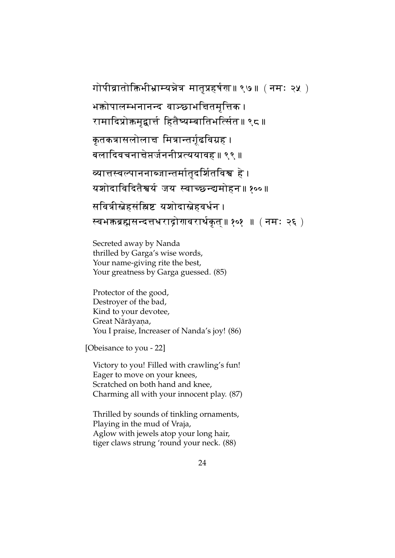```
गोपीव्रातोक्तिभीभ्राम्यन्नेत्र मातृप्रहर्षण॥ ९७॥ ( नमः २५ )
भक्तोपालम्भनानन्द वाञ्छाभचितमृत्तिक ।
रामादिप्रोक्तमृद्वार्त्त हितैष्यम्बातिभत्सिंत॥ ९८ ।
कृतकत्रासलोलाच मित्रान्तर्गूढविग्रह 
बलादिवचनाचेप्तर्जननीप्रत्ययावह॥ ९९ ॥
व्यात्तस्वल्पाननाब्जान्तर्मातृदर्शितविश्व हे ।
यशोदाविदितैश्वर्य जय स्वाच्छन्द्यमोहन॥ १००॥
सवित्रीस्नेहसंझिष्ट यशोदास्नेहवर्धन ।
स्वभक्तब्रह्मसन्दत्तधराद्रोरावरार्थकृत्॥ १०१  ॥ ( नमः २६ )
```
Secreted away by Nanda thrilled by Garga's wise words, Your name-giving rite the best, Your greatness by Garga guessed. (85)

Protector of the good, Destroyer of the bad, Kind to your devotee, Great Nārāyaṇa, You I praise, Increaser of Nanda's joy! (86)

[Obeisance to you - 22]

Victory to you! Filled with crawling's fun! Eager to move on your knees, Scratched on both hand and knee, Charming all with your innocent play. (87)

Thrilled by sounds of tinkling ornaments, Playing in the mud of Vraja, Aglow with jewels atop your long hair, tiger claws strung 'round your neck. (88)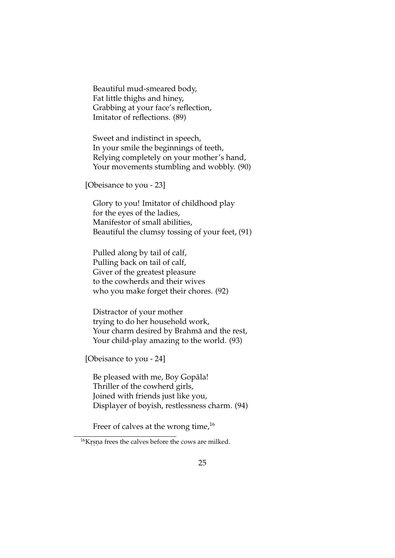Beautiful mud-smeared body, Fat little thighs and hiney, Grabbing at your face's reflection, Imitator of reflections. (89)

Sweet and indistinct in speech, In your smile the beginnings of teeth, Relying completely on your mother's hand, Your movements stumbling and wobbly. (90)

[Obeisance to you - 23]

Glory to you! Imitator of childhood play for the eyes of the ladies, Manifestor of small abilities, Beautiful the clumsy tossing of your feet, (91)

Pulled along by tail of calf, Pulling back on tail of calf, Giver of the greatest pleasure to the cowherds and their wives who you make forget their chores. (92)

Distractor of your mother trying to do her household work, Your charm desired by Brahmā and the rest, Your child-play amazing to the world. (93)

[Obeisance to you - 24]

Be pleased with me, Boy Gopala! Thriller of the cowherd girls, Joined with friends just like you, Displayer of boyish, restlessness charm. (94)

Freer of calves at the wrong time,  $16$ 

<sup>&</sup>lt;sup>16</sup>Krsna frees the calves before the cows are milked.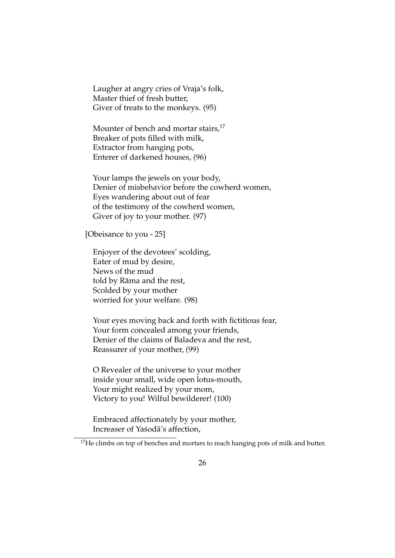Laugher at angry cries of Vraja's folk, Master thief of fresh butter, Giver of treats to the monkeys. (95)

Mounter of bench and mortar stairs, $^{17}$ Breaker of pots filled with milk, Extractor from hanging pots, Enterer of darkened houses, (96)

Your lamps the jewels on your body, Denier of misbehavior before the cowherd women, Eyes wandering about out of fear of the testimony of the cowherd women, Giver of joy to your mother. (97)

[Obeisance to you - 25]

Enjoyer of the devotees' scolding, Eater of mud by desire, News of the mud told by Rāma and the rest, Scolded by your mother worried for your welfare. (98)

Your eyes moving back and forth with fictitious fear, Your form concealed among your friends, Denier of the claims of Baladeva and the rest, Reassurer of your mother, (99)

O Revealer of the universe to your mother inside your small, wide open lotus-mouth, Your might realized by your mom, Victory to you! Wilful bewilderer! (100)

Embraced affectionately by your mother, Increaser of Yasoda's affection,

<sup>&</sup>lt;sup>17</sup>He climbs on top of benches and mortars to reach hanging pots of milk and butter.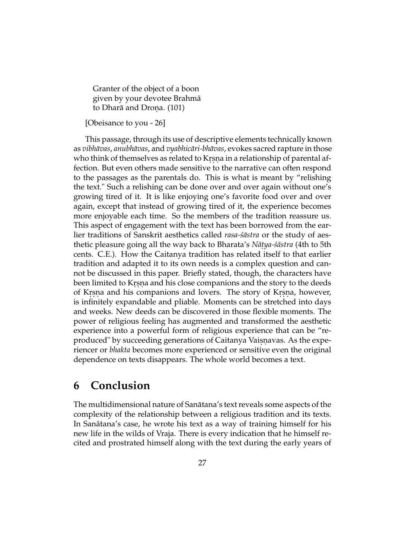Granter of the object of a boon given by your devotee Brahma¯ to Dharā and Droņa. (101)

[Obeisance to you - 26]

This passage, through its use of descriptive elements technically known as *vibhavas ¯* , *anubhavas ¯* , and *vyabhicari-bh ¯ avas ¯* , evokes sacred rapture in those who think of themselves as related to Krsna in a relationship of parental affection. But even others made sensitive to the narrative can often respond to the passages as the parentals do. This is what is meant by "relishing the text." Such a relishing can be done over and over again without one's growing tired of it. It is like enjoying one's favorite food over and over again, except that instead of growing tired of it, the experience becomes more enjoyable each time. So the members of the tradition reassure us. This aspect of engagement with the text has been borrowed from the earlier traditions of Sanskrit aesthetics called *rasa-'sastra* or the study of aesthetic pleasure going all the way back to Bharata's *Nātya-śāstra* (4th to 5th cents. C.E.). How the Caitanya tradition has related itself to that earlier tradition and adapted it to its own needs is a complex question and cannot be discussed in this paper. Briefly stated, though, the characters have been limited to Krsna and his close companions and the story to the deeds of Krsna and his companions and lovers. The story of Krsna, however, is infinitely expandable and pliable. Moments can be stretched into days and weeks. New deeds can be discovered in those flexible moments. The power of religious feeling has augmented and transformed the aesthetic experience into a powerful form of religious experience that can be "reproduced" by succeeding generations of Caitanya Vaisnavas. As the experiencer or *bhakta* becomes more experienced or sensitive even the original dependence on texts disappears. The whole world becomes a text.

## **6 Conclusion**

The multidimensional nature of Sanatana's text reveals some aspects of the ¯ complexity of the relationship between a religious tradition and its texts. In Sanātana's case, he wrote his text as a way of training himself for his new life in the wilds of Vraja. There is every indication that he himself recited and prostrated himself along with the text during the early years of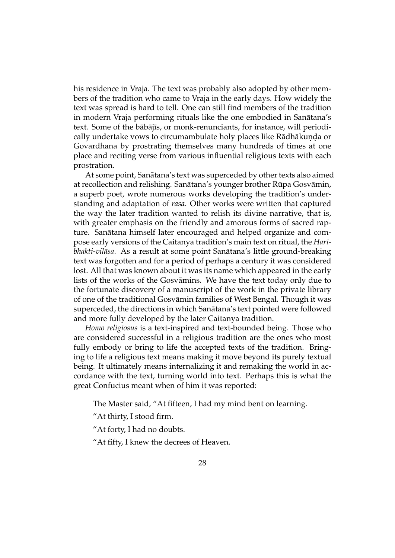his residence in Vraja. The text was probably also adopted by other members of the tradition who came to Vraja in the early days. How widely the text was spread is hard to tell. One can still find members of the tradition in modern Vraja performing rituals like the one embodied in Sanātana's text. Some of the babajis, or monk-renunciants, for instance, will periodically undertake vows to circumambulate holy places like Rādhākuṇḍa or Govardhana by prostrating themselves many hundreds of times at one place and reciting verse from various influential religious texts with each prostration.

At some point, Sanātana's text was superceded by other texts also aimed at recollection and relishing. Sanātana's younger brother Rūpa Gosvāmin, a superb poet, wrote numerous works developing the tradition's understanding and adaptation of *rasa*. Other works were written that captured the way the later tradition wanted to relish its divine narrative, that is, with greater emphasis on the friendly and amorous forms of sacred rapture. Sanātana himself later encouraged and helped organize and compose early versions of the Caitanya tradition's main text on ritual, the *Haribhakti-vilāsa*. As a result at some point Sanātana's little ground-breaking text was forgotten and for a period of perhaps a century it was considered lost. All that was known about it was its name which appeared in the early lists of the works of the Gosvamins. We have the text today only due to ¯ the fortunate discovery of a manuscript of the work in the private library of one of the traditional Gosvamin families of West Bengal. Though it was ¯ superceded, the directions in which Sanātana's text pointed were followed and more fully developed by the later Caitanya tradition.

*Homo religiosus* is a text-inspired and text-bounded being. Those who are considered successful in a religious tradition are the ones who most fully embody or bring to life the accepted texts of the tradition. Bringing to life a religious text means making it move beyond its purely textual being. It ultimately means internalizing it and remaking the world in accordance with the text, turning world into text. Perhaps this is what the great Confucius meant when of him it was reported:

The Master said, "At fifteen, I had my mind bent on learning.

"At thirty, I stood firm.

"At forty, I had no doubts.

"At fifty, I knew the decrees of Heaven.